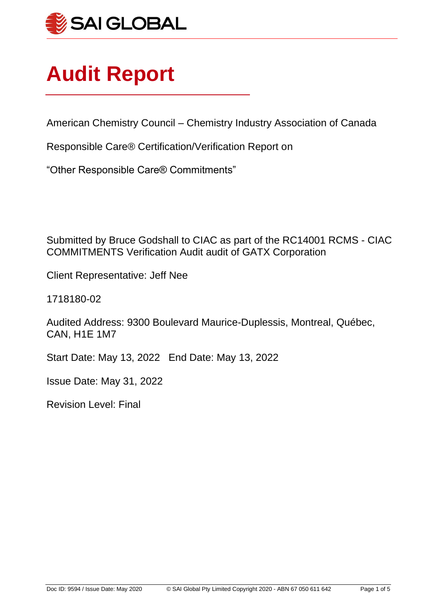

# **Audit Report**

American Chemistry Council – Chemistry Industry Association of Canada

Responsible Care® Certification/Verification Report on

"Other Responsible Care® Commitments"

Submitted by Bruce Godshall to CIAC as part of the RC14001 RCMS - CIAC COMMITMENTS Verification Audit audit of GATX Corporation

Client Representative: Jeff Nee

1718180-02

Audited Address: 9300 Boulevard Maurice-Duplessis, Montreal, Québec, CAN, H1E 1M7

Start Date: May 13, 2022 End Date: May 13, 2022

Issue Date: May 31, 2022

Revision Level: Final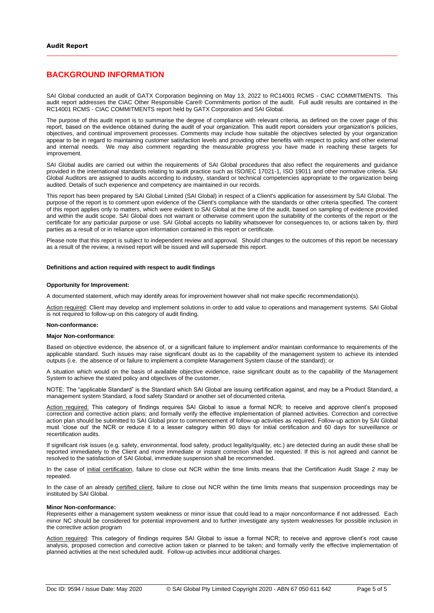#### **BACKGROUND INFORMATION**

SAI Global conducted an audit of GATX Corporation beginning on May 13, 2022 to RC14001 RCMS - CIAC COMMITMENTS. This audit report addresses the CIAC Other Responsible Care® Commitments portion of the audit. Full audit results are contained in the RC14001 RCMS - CIAC COMMITMENTS report held by GATX Corporation and SAI Global.

The purpose of this audit report is to summarise the degree of compliance with relevant criteria, as defined on the cover page of this report, based on the evidence obtained during the audit of your organization. This audit report considers your organization's policies, objectives, and continual improvement processes. Comments may include how suitable the objectives selected by your organization appear to be in regard to maintaining customer satisfaction levels and providing other benefits with respect to policy and other external and internal needs. We may also comment regarding the measurable progress you have made in reaching these targets for improvement.

SAI Global audits are carried out within the requirements of SAI Global procedures that also reflect the requirements and guidance provided in the international standards relating to audit practice such as ISO/IEC 17021-1, ISO 19011 and other normative criteria. SAI Global Auditors are assigned to audits according to industry, standard or technical competencies appropriate to the organization being audited. Details of such experience and competency are maintained in our records.

This report has been prepared by SAI Global Limited (SAI Global) in respect of a Client's application for assessment by SAI Global. The purpose of the report is to comment upon evidence of the Client's compliance with the standards or other criteria specified. The content of this report applies only to matters, which were evident to SAI Global at the time of the audit, based on sampling of evidence provided and within the audit scope. SAI Global does not warrant or otherwise comment upon the suitability of the contents of the report or the certificate for any particular purpose or use. SAI Global accepts no liability whatsoever for consequences to, or actions taken by, third parties as a result of or in reliance upon information contained in this report or certificate.

Please note that this report is subject to independent review and approval. Should changes to the outcomes of this report be necessary as a result of the review, a revised report will be issued and will supersede this report.

#### **Definitions and action required with respect to audit findings**

#### **Opportunity for Improvement:**

A documented statement, which may identify areas for improvement however shall not make specific recommendation(s).

Action required: Client may develop and implement solutions in order to add value to operations and management systems. SAI Global is not required to follow-up on this category of audit finding.

#### **Non-conformance:**

#### **Major Non-conformance**:

Based on objective evidence, the absence of, or a significant failure to implement and/or maintain conformance to requirements of the applicable standard. Such issues may raise significant doubt as to the capability of the management system to achieve its intended outputs (i.e. the absence of or failure to implement a complete Management System clause of the standard); or

A situation which would on the basis of available objective evidence, raise significant doubt as to the capability of the Management System to achieve the stated policy and objectives of the customer.

NOTE: The "applicable Standard" is the Standard which SAI Global are issuing certification against, and may be a Product Standard, a management system Standard, a food safety Standard or another set of documented criteria.

Action required: This category of findings requires SAI Global to issue a formal NCR; to receive and approve client's proposed correction and corrective action plans; and formally verify the effective implementation of planned activities. Correction and corrective action plan should be submitted to SAI Global prior to commencement of follow-up activities as required. Follow-up action by SAI Global must 'close out' the NCR or reduce it to a lesser category within 90 days for initial certification and 60 days for surveillance or recertification audits.

If significant risk issues (e.g. safety, environmental, food safety, product legality/quality, etc.) are detected during an audit these shall be reported immediately to the Client and more immediate or instant correction shall be requested. If this is not agreed and cannot be resolved to the satisfaction of SAI Global, immediate suspension shall be recommended.

In the case of initial certification, failure to close out NCR within the time limits means that the Certification Audit Stage 2 may be repeated.

In the case of an already certified client, failure to close out NCR within the time limits means that suspension proceedings may be instituted by SAI Global.

#### **Minor Non-conformance:**

Represents either a management system weakness or minor issue that could lead to a major nonconformance if not addressed. Each minor NC should be considered for potential improvement and to further investigate any system weaknesses for possible inclusion in the corrective action program

Action required: This category of findings requires SAI Global to issue a formal NCR; to receive and approve client's root cause analysis, proposed correction and corrective action taken or planned to be taken; and formally verify the effective implementation of planned activities at the next scheduled audit. Follow-up activities incur additional charges.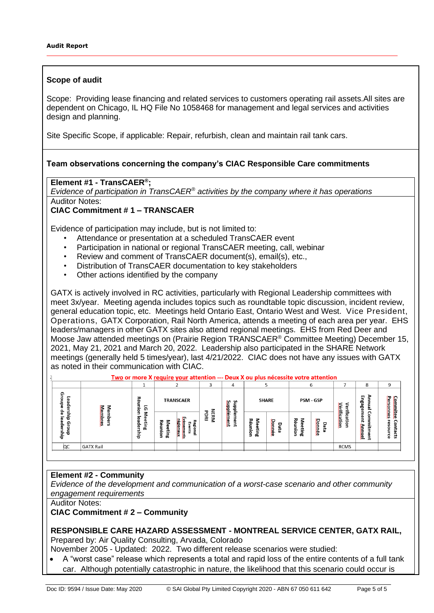## **Scope of audit**

Scope: Providing lease financing and related services to customers operating rail assets.All sites are dependent on Chicago, IL HQ File No 1058468 for management and legal services and activities design and planning.

Site Specific Scope, if applicable: Repair, refurbish, clean and maintain rail tank cars.

#### **Team observations concerning the company's CIAC Responsible Care commitments**

## **Element #1 - TransCAER® ;**

*Evidence of participation in TransCAER® activities by the company where it has operations* Auditor Notes:

## **CIAC Commitment # 1 – TRANSCAER**

Evidence of participation may include, but is not limited to:

- Attendance or presentation at a scheduled TransCAER event
- Participation in national or regional TransCAER meeting, call, webinar
- Review and comment of TransCAER document(s), email(s), etc.,
- Distribution of TransCAER documentation to key stakeholders
- Other actions identified by the company

GATX is actively involved in RC activities, particularly with Regional Leadership committees with meet 3x/year. Meeting agenda includes topics such as roundtable topic discussion, incident review, general education topic, etc. Meetings held Ontario East, Ontario West and West. Vice President, Operations, GATX Corporation, Rail North America, attends a meeting of each area per year. EHS leaders/managers in other GATX sites also attend regional meetings. EHS from Red Deer and Moose Jaw attended meetings on (Prairie Region TRANSCAER® Committee Meeting) December 15, 2021, May 21, 2021 and March 20, 2022. Leadership also participated in the SHARE Network meetings (generally held 5 times/year), last 4/21/2022. CIAC does not have any issues with GATX as noted in their communication with CIAC.

|                                                           | <u>Two</u> or more X <u>require your</u> attention --- Deux X ou plus nécessite votre attention |                                |                           |                                                       |                  |                   | 6                            |                |                   | 8                     | q                           |                          |                              |
|-----------------------------------------------------------|-------------------------------------------------------------------------------------------------|--------------------------------|---------------------------|-------------------------------------------------------|------------------|-------------------|------------------------------|----------------|-------------------|-----------------------|-----------------------------|--------------------------|------------------------------|
| ဌာ<br>Leade<br>틍                                          |                                                                                                 | ᆽ<br>O.<br>ត<br>ਨੋ             | <b>TRANSCAER</b>          |                                                       |                  | <b>pddns</b>      | <b>SHARE</b>                 |                | <b>PSM - GSP</b>  |                       |                             | ⋗<br>퍅<br>Bage<br>≃      | <b>Personnes</b><br>commites |
| ခိ<br>9L<br>ਰੋ<br>$\overline{\bullet}$<br>٩<br>ainip<br>듞 | Members<br>Membres                                                                              | ,<br>ᢛ<br>ھ<br>eting<br>န<br>흉 | <b>Meeting</b><br>Réunion | <b>VADSLUSIUS</b><br>짖<br>égienaw<br>Events<br>gional | <b>NERM</b><br>료 | Supplément<br>eur | ≶<br>Réun<br>eting<br>٥<br>5 | Dannée<br>Date | Yéunion<br>ወ<br>ξ | <b>Donoée</b><br>Data | Vérification<br>erification | -<br><b>Allaced</b><br>ᆵ | eso<br>-<br>8<br>ದ           |
| QC                                                        | <b>GATX Rail</b>                                                                                |                                |                           |                                                       |                  |                   |                              |                |                   |                       | <b>RCMS</b>                 |                          |                              |

## **Element #2 - Community**

*Evidence of the development and communication of a worst-case scenario and other community engagement requirements*

Auditor Notes:

#### **CIAC Commitment # 2 – Community**

#### **RESPONSIBLE CARE HAZARD ASSESSMENT - MONTREAL SERVICE CENTER, GATX RAIL,**  Prepared by: Air Quality Consulting, Arvada, Colorado

November 2005 - Updated: 2022. Two different release scenarios were studied:

• A "worst case" release which represents a total and rapid loss of the entire contents of a full tank car. Although potentially catastrophic in nature, the likelihood that this scenario could occur is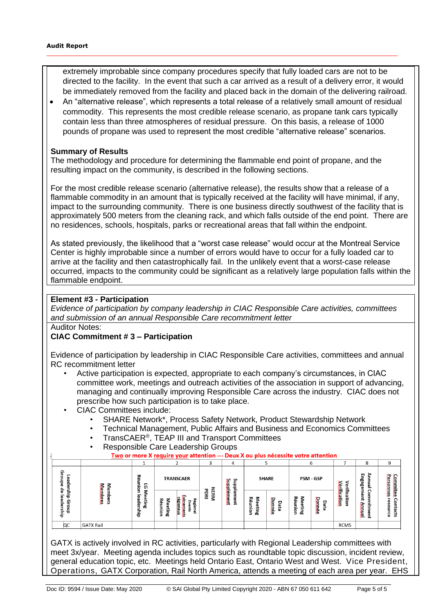extremely improbable since company procedures specify that fully loaded cars are not to be directed to the facility. In the event that such a car arrived as a result of a delivery error, it would be immediately removed from the facility and placed back in the domain of the delivering railroad.

• An "alternative release", which represents a total release of a relatively small amount of residual commodity. This represents the most credible release scenario, as propane tank cars typically contain less than three atmospheres of residual pressure. On this basis, a release of 1000 pounds of propane was used to represent the most credible "alternative release" scenarios.

#### **Summary of Results**

The methodology and procedure for determining the flammable end point of propane, and the resulting impact on the community, is described in the following sections.

For the most credible release scenario (alternative release), the results show that a release of a flammable commodity in an amount that is typically received at the facility will have minimal, if any, impact to the surrounding community. There is one business directly southwest of the facility that is approximately 500 meters from the cleaning rack, and which falls outside of the end point. There are no residences, schools, hospitals, parks or recreational areas that fall within the endpoint.

As stated previously, the likelihood that a "worst case release" would occur at the Montreal Service Center is highly improbable since a number of errors would have to occur for a fully loaded car to arrive at the facility and then catastrophically fail. In the unlikely event that a worst-case release occurred, impacts to the community could be significant as a relatively large population falls within the flammable endpoint.

## **Element #3 - Participation**

*Evidence of participation by company leadership in CIAC Responsible Care activities, committees and submission of an annual Responsible Care recommitment letter*

Auditor Notes:

## **CIAC Commitment # 3 – Participation**

Evidence of participation by leadership in CIAC Responsible Care activities, committees and annual RC recommitment letter

- Active participation is expected, appropriate to each company's circumstances, in CIAC committee work, meetings and outreach activities of the association in support of advancing, managing and continually improving Responsible Care across the industry. CIAC does not prescribe how such participation is to take place.
- CIAC Committees include:
	- SHARE Network\*, Process Safety Network, Product Stewardship Network
	- Technical Management, Public Affairs and Business and Economics Committees
	- TransCAER®, TEAP III and Transport Committees
	- Responsible Care Leadership Groups

|  |  |  | Two or more X require your attention --- Deux X ou plus nécessite votre attention |  |
|--|--|--|-----------------------------------------------------------------------------------|--|
|  |  |  |                                                                                   |  |

|                             |                        | л.                                          |                                                                      |                                                                                               | ಎ              | ↔                                |                       |                                        |                                                   | u                       |                                            | $\circ$                                           | ⋍                   |
|-----------------------------|------------------------|---------------------------------------------|----------------------------------------------------------------------|-----------------------------------------------------------------------------------------------|----------------|----------------------------------|-----------------------|----------------------------------------|---------------------------------------------------|-------------------------|--------------------------------------------|---------------------------------------------------|---------------------|
| ഹ<br>۰<br>m<br>န္<br>s      | -<br>ൈ                 | ᆽ<br>$\overline{0}$<br>≕<br>۵<br>=.<br>٥    |                                                                      | <b>TRANSCAER</b>                                                                              | ᠊ᢦ             | ۶n<br>ဖ<br>ò<br>ರ<br>ರ<br>Ѣ<br>= |                       | <b>SHARE</b>                           |                                                   | <b>PSM - GSP</b>        | <b>Mattlic</b><br>ቋ<br>₿                   | ⋗<br>m<br>-<br>ణ<br>ဇွ<br>$\overline{\mathbf{u}}$ | Commitee.<br>Person |
| ಕ<br>൹<br>⊙<br>o<br>73<br>ਤ | Į<br>Ξ<br>ਠ<br>es<br>æ | -<br>ᢛ<br>നാ<br>흪<br>ω<br>으<br>ϋ<br>=.<br>ਠ | ᅎ<br>$\overline{\mathbf{c}}$<br>ಕ<br>eting<br>5<br>=.<br>۰<br>-<br>∍ | vп.<br>꼰<br>F<br>go.<br>$\mathbf{m}$<br><b>Culture</b><br>떨.<br><b>CONSULS</b><br>я<br>ō<br>= | NERN<br>O<br>혼 | imani<br>œ<br>൹<br>؏             | -<br>忍<br>−<br>э<br>œ | Ю<br><b>SULLE</b><br>ᆷ<br>ھ<br>ਛ<br>ŞĎ | –<br>æ<br>Œ<br>Ξ.<br>Ξ.<br>$\circ$<br>-<br>Ξ<br>œ | హ<br>saas<br>Data<br>ΧĐ | ۆۈ<br>±<br>mone<br>$\overline{\mathbf{c}}$ | Φ<br>←<br>$\mathbf{S}$<br><b>Lautal</b><br>ᆵ      | ω<br>-<br>æ<br>m    |
| QC                          | <b>GATX Rail</b>       |                                             |                                                                      |                                                                                               |                |                                  |                       |                                        |                                                   |                         | <b>RCMS</b>                                |                                                   |                     |

GATX is actively involved in RC activities, particularly with Regional Leadership committees with meet 3x/year. Meeting agenda includes topics such as roundtable topic discussion, incident review, general education topic, etc. Meetings held Ontario East, Ontario West and West. Vice President, Operations, GATX Corporation, Rail North America, attends a meeting of each area per year. EHS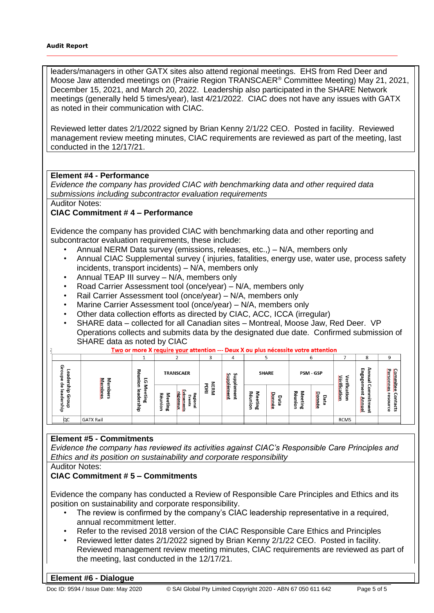leaders/managers in other GATX sites also attend regional meetings. EHS from Red Deer and Moose Jaw attended meetings on (Prairie Region TRANSCAER® Committee Meeting) May 21, 2021, December 15, 2021, and March 20, 2022. Leadership also participated in the SHARE Network meetings (generally held 5 times/year), last 4/21/2022. CIAC does not have any issues with GATX as noted in their communication with CIAC.

Reviewed letter dates 2/1/2022 signed by Brian Kenny 2/1/22 CEO. Posted in facility. Reviewed management review meeting minutes, CIAC requirements are reviewed as part of the meeting, last conducted in the 12/17/21.

## **Element #4 - Performance**

*Evidence the company has provided CIAC with benchmarking data and other required data submissions including subcontractor evaluation requirements*

Auditor Notes:

## **CIAC Commitment # 4 – Performance**

Evidence the company has provided CIAC with benchmarking data and other reporting and subcontractor evaluation requirements, these include:

- Annual NERM Data survey (emissions, releases, etc.,) N/A, members only
- Annual CIAC Supplemental survey ( injuries, fatalities, energy use, water use, process safety incidents, transport incidents) – N/A, members only
- Annual TEAP III survey N/A, members only
- Road Carrier Assessment tool (once/year) N/A, members only
- Rail Carrier Assessment tool (once/year) N/A, members only
- Marine Carrier Assessment tool (once/year) N/A, members only
- Other data collection efforts as directed by CIAC, ACC, ICCA (irregular)
- SHARE data collected for all Canadian sites Montreal, Moose Jaw, Red Deer. VP Operations collects and submits data by the designated due date. Confirmed submission of SHARE data as noted by CIAC<br>Two or more X require your attention --- Deux X ou plus nécessite votre attention

|                             |                     |                                             |                                                                                 |                                     |                                     |                        |                            |                          | b                                                   |                       |                       | $\circ$<br>ົ                         | 9                           |
|-----------------------------|---------------------|---------------------------------------------|---------------------------------------------------------------------------------|-------------------------------------|-------------------------------------|------------------------|----------------------------|--------------------------|-----------------------------------------------------|-----------------------|-----------------------|--------------------------------------|-----------------------------|
| ⊙<br>ъ<br>о<br>൹<br>o       | ⋝<br>Me             | 忍<br>Ξ<br>-<br>C<br>5                       | <b>TRANSCAER</b>                                                                |                                     | <b>SHARE</b><br><b>Supple</b><br>۰, |                        | PSM - GSP                  |                          | entile                                              | ⋗<br>Engage<br>ω<br>÷ | Commitee<br>Personnes |                                      |                             |
| Ф<br>73<br>ω<br>ດ<br>n<br>흥 | dembres<br>ᇂ<br>ers | –<br>α<br>o<br>ω<br>œ<br>Ē<br>௨<br>ወ<br>-ਰਾ | 7<br>忍<br>cheusra<br>۶<br>ക<br>ŝ<br>š<br>e<br>Ell<br>ā.<br>٤<br>œ<br><b>Gui</b> | درج<br>고<br>ሮ<br>euojā<br>ents<br>⋍ | ट<br>NERM<br>혼                      | Supplément<br>Ξ<br>eut | 5<br>ᆽ<br>ው<br>٥<br>5<br>œ | Ю<br><b>saas</b><br>Data | ᅎ<br>Ξ<br>ëun<br>$\sigma$<br>Ф<br>c.<br>ㅎ<br>Ξ<br>൹ | Dannée<br>Data        | ∼<br>mone<br>ë.<br>g  | Ξ<br>⋍<br>ent<br><b>Autuuld</b><br>å | ⌒<br>9<br>g<br>굽<br>ទូ<br>ន |
| QC                          | <b>GATX Rail</b>    |                                             |                                                                                 |                                     |                                     |                        |                            |                          |                                                     |                       | <b>RCMS</b>           |                                      |                             |

## **Element #5 - Commitments**

*Evidence the company has reviewed its activities against CIAC's Responsible Care Principles and Ethics and its position on sustainability and corporate responsibility* 

Auditor Notes:

 $\overline{1}$ 

## **CIAC Commitment # 5 – Commitments**

Evidence the company has conducted a Review of Responsible Care Principles and Ethics and its position on sustainability and corporate responsibility.

- The review is confirmed by the company's CIAC leadership representative in a required, annual recommitment letter.
- Refer to the revised 2018 version of the CIAC Responsible Care Ethics and Principles
- Reviewed letter dates 2/1/2022 signed by Brian Kenny 2/1/22 CEO. Posted in facility. Reviewed management review meeting minutes, CIAC requirements are reviewed as part of the meeting, last conducted in the 12/17/21.

#### **Element #6 - Dialogue**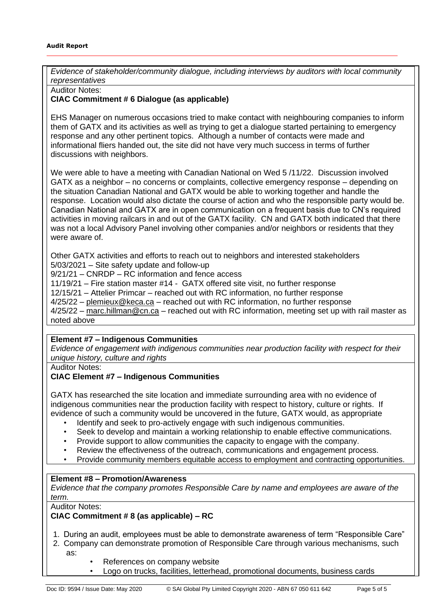*Evidence of stakeholder/community dialogue, including interviews by auditors with local community representatives*

Auditor Notes:

#### **CIAC Commitment # 6 Dialogue (as applicable)**

EHS Manager on numerous occasions tried to make contact with neighbouring companies to inform them of GATX and its activities as well as trying to get a dialogue started pertaining to emergency response and any other pertinent topics. Although a number of contacts were made and informational fliers handed out, the site did not have very much success in terms of further discussions with neighbors.

We were able to have a meeting with Canadian National on Wed 5 /11/22. Discussion involved GATX as a neighbor – no concerns or complaints, collective emergency response – depending on the situation Canadian National and GATX would be able to working together and handle the response. Location would also dictate the course of action and who the responsible party would be. Canadian National and GATX are in open communication on a frequent basis due to CN's required activities in moving railcars in and out of the GATX facility. CN and GATX both indicated that there was not a local Advisory Panel involving other companies and/or neighbors or residents that they were aware of.

Other GATX activities and efforts to reach out to neighbors and interested stakeholders 5/03/2021 – Site safety update and follow-up

9/21/21 – CNRDP – RC information and fence access

11/19/21 – Fire station master #14 - GATX offered site visit, no further response

12/15/21 – Attelier Primcar – reached out with RC information, no further response

4/25/22 – [plemieux@keca.ca](mailto:plemieux@keca.ca) – reached out with RC information, no further response

4/25/22 – [marc.hillman@cn.ca](mailto:marc.hillman@cn.ca) – reached out with RC information, meeting set up with rail master as noted above

#### **Element #7 – Indigenous Communities**

*Evidence of engagement with indigenous communities near production facility with respect for their unique history, culture and rights*

Auditor Notes:

## **CIAC Element #7 – Indigenous Communities**

GATX has researched the site location and immediate surrounding area with no evidence of indigenous communities near the production facility with respect to history, culture or rights. If evidence of such a community would be uncovered in the future, GATX would, as appropriate

- Identify and seek to pro-actively engage with such indigenous communities.
- Seek to develop and maintain a working relationship to enable effective communications.
- Provide support to allow communities the capacity to engage with the company.
- Review the effectiveness of the outreach, communications and engagement process.
- Provide community members equitable access to employment and contracting opportunities.

#### **Element #8 – Promotion/Awareness**

*Evidence that the company promotes Responsible Care by name and employees are aware of the term.*

Auditor Notes:

# **CIAC Commitment # 8 (as applicable) – RC**

- 1. During an audit, employees must be able to demonstrate awareness of term "Responsible Care"
- 2. Company can demonstrate promotion of Responsible Care through various mechanisms, such as:
	- References on company website
		- Logo on trucks, facilities, letterhead, promotional documents, business cards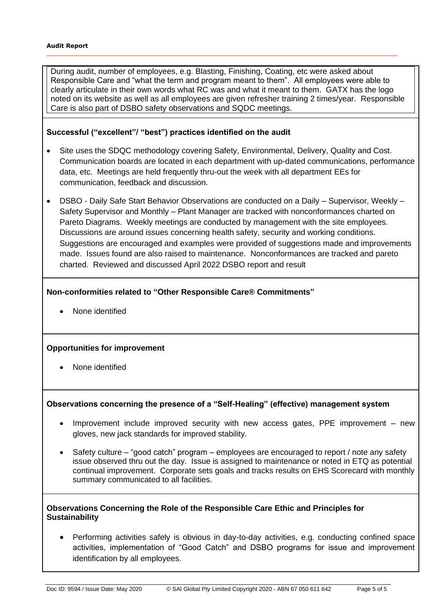During audit, number of employees, e.g. Blasting, Finishing, Coating, etc were asked about Responsible Care and "what the term and program meant to them". All employees were able to clearly articulate in their own words what RC was and what it meant to them. GATX has the logo noted on its website as well as all employees are given refresher training 2 times/year. Responsible Care is also part of DSBO safety observations and SQDC meetings.

# **Successful ("excellent"/ "best") practices identified on the audit**

- Site uses the SDQC methodology covering Safety, Environmental, Delivery, Quality and Cost. Communication boards are located in each department with up-dated communications, performance data, etc. Meetings are held frequently thru-out the week with all department EEs for communication, feedback and discussion.
- DSBO Daily Safe Start Behavior Observations are conducted on a Daily Supervisor, Weekly Safety Supervisor and Monthly – Plant Manager are tracked with nonconformances charted on Pareto Diagrams. Weekly meetings are conducted by management with the site employees. Discussions are around issues concerning health safety, security and working conditions. Suggestions are encouraged and examples were provided of suggestions made and improvements made. Issues found are also raised to maintenance. Nonconformances are tracked and pareto charted. Reviewed and discussed April 2022 DSBO report and result

## **Non-conformities related to "Other Responsible Care® Commitments"**

• None identified

## **Opportunities for improvement**

• None identified

## **Observations concerning the presence of a "Self-Healing" (effective) management system**

- Improvement include improved security with new access gates, PPE improvement new gloves, new jack standards for improved stability.
- Safety culture "good catch" program employees are encouraged to report / note any safety issue observed thru out the day. Issue is assigned to maintenance or noted in ETQ as potential continual improvement. Corporate sets goals and tracks results on EHS Scorecard with monthly summary communicated to all facilities.

## **Observations Concerning the Role of the Responsible Care Ethic and Principles for Sustainability**

• Performing activities safely is obvious in day-to-day activities, e.g. conducting confined space activities, implementation of "Good Catch" and DSBO programs for issue and improvement identification by all employees.